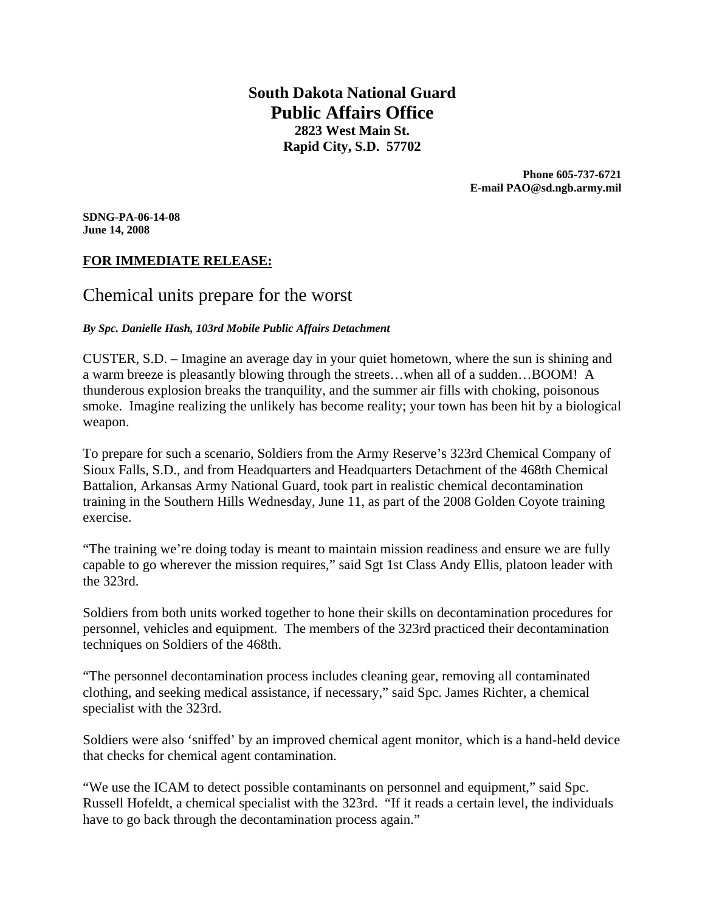**South Dakota National Guard Public Affairs Office 2823 West Main St. Rapid City, S.D. 57702** 

> **Phone 605-737-6721 E-mail PAO@sd.ngb.army.mil**

**SDNG-PA-06-14-08 June 14, 2008** 

## **FOR IMMEDIATE RELEASE:**

# Chemical units prepare for the worst

#### *By Spc. Danielle Hash, 103rd Mobile Public Affairs Detachment*

CUSTER, S.D. – Imagine an average day in your quiet hometown, where the sun is shining and a warm breeze is pleasantly blowing through the streets…when all of a sudden…BOOM! A thunderous explosion breaks the tranquility, and the summer air fills with choking, poisonous smoke. Imagine realizing the unlikely has become reality; your town has been hit by a biological weapon.

To prepare for such a scenario, Soldiers from the Army Reserve's 323rd Chemical Company of Sioux Falls, S.D., and from Headquarters and Headquarters Detachment of the 468th Chemical Battalion, Arkansas Army National Guard, took part in realistic chemical decontamination training in the Southern Hills Wednesday, June 11, as part of the 2008 Golden Coyote training exercise.

"The training we're doing today is meant to maintain mission readiness and ensure we are fully capable to go wherever the mission requires," said Sgt 1st Class Andy Ellis, platoon leader with the 323rd.

Soldiers from both units worked together to hone their skills on decontamination procedures for personnel, vehicles and equipment. The members of the 323rd practiced their decontamination techniques on Soldiers of the 468th.

"The personnel decontamination process includes cleaning gear, removing all contaminated clothing, and seeking medical assistance, if necessary," said Spc. James Richter, a chemical specialist with the 323rd.

Soldiers were also 'sniffed' by an improved chemical agent monitor, which is a hand-held device that checks for chemical agent contamination.

"We use the ICAM to detect possible contaminants on personnel and equipment," said Spc. Russell Hofeldt, a chemical specialist with the 323rd. "If it reads a certain level, the individuals have to go back through the decontamination process again."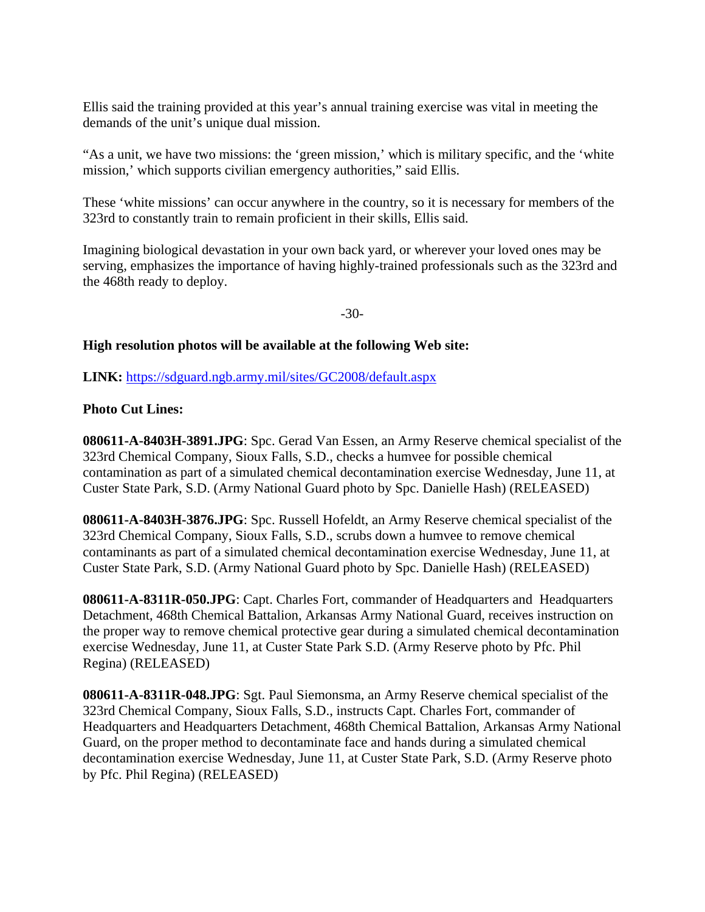Ellis said the training provided at this year's annual training exercise was vital in meeting the demands of the unit's unique dual mission.

"As a unit, we have two missions: the 'green mission,' which is military specific, and the 'white mission,' which supports civilian emergency authorities," said Ellis.

These 'white missions' can occur anywhere in the country, so it is necessary for members of the 323rd to constantly train to remain proficient in their skills, Ellis said.

Imagining biological devastation in your own back yard, or wherever your loved ones may be serving, emphasizes the importance of having highly-trained professionals such as the 323rd and the 468th ready to deploy.

-30-

### **High resolution photos will be available at the following Web site:**

**LINK:** https://sdguard.ngb.army.mil/sites/GC2008/default.aspx

## **Photo Cut Lines:**

**080611-A-8403H-3891.JPG**: Spc. Gerad Van Essen, an Army Reserve chemical specialist of the 323rd Chemical Company, Sioux Falls, S.D., checks a humvee for possible chemical contamination as part of a simulated chemical decontamination exercise Wednesday, June 11, at Custer State Park, S.D. (Army National Guard photo by Spc. Danielle Hash) (RELEASED)

**080611-A-8403H-3876.JPG**: Spc. Russell Hofeldt, an Army Reserve chemical specialist of the 323rd Chemical Company, Sioux Falls, S.D., scrubs down a humvee to remove chemical contaminants as part of a simulated chemical decontamination exercise Wednesday, June 11, at Custer State Park, S.D. (Army National Guard photo by Spc. Danielle Hash) (RELEASED)

**080611-A-8311R-050.JPG**: Capt. Charles Fort, commander of Headquarters and Headquarters Detachment, 468th Chemical Battalion, Arkansas Army National Guard, receives instruction on the proper way to remove chemical protective gear during a simulated chemical decontamination exercise Wednesday, June 11, at Custer State Park S.D. (Army Reserve photo by Pfc. Phil Regina) (RELEASED)

**080611-A-8311R-048.JPG**: Sgt. Paul Siemonsma, an Army Reserve chemical specialist of the 323rd Chemical Company, Sioux Falls, S.D., instructs Capt. Charles Fort, commander of Headquarters and Headquarters Detachment, 468th Chemical Battalion, Arkansas Army National Guard, on the proper method to decontaminate face and hands during a simulated chemical decontamination exercise Wednesday, June 11, at Custer State Park, S.D. (Army Reserve photo by Pfc. Phil Regina) (RELEASED)